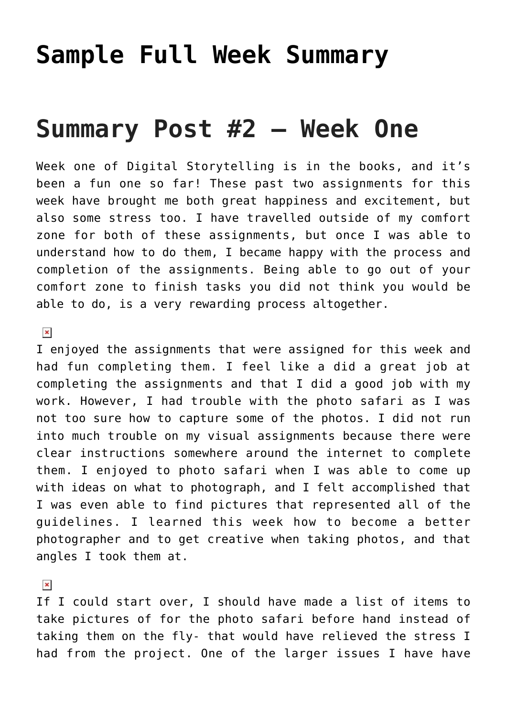## **[Sample Full Week Summary](http://ds106.jenpolack.com/?page_id=2406)**

# **Summary Post #2 – Week One**

Week one of Digital Storytelling is in the books, and it's been a fun one so far! These past two assignments for this week have brought me both great happiness and excitement, but also some stress too. I have travelled outside of my comfort zone for both of these assignments, but once I was able to understand how to do them, I became happy with the process and completion of the assignments. Being able to go out of your comfort zone to finish tasks you did not think you would be able to do, is a very rewarding process altogether.

#### $\pmb{\times}$

I enjoyed the assignments that were assigned for this week and had fun completing them. I feel like a did a great job at completing the assignments and that I did a good job with my work. However, I had trouble with the [photo safari](http://cruzkevin.com/?page_id=112) as I was not too sure how to capture some of the photos. I did not run into much trouble on my visual assignments because there were clear instructions somewhere around the internet to complete them. I enjoyed to photo safari when I was able to come up with ideas on what to photograph, and I felt accomplished that I was even able to find pictures that represented all of the guidelines. I learned this week how to become a better photographer and to get creative when taking photos, and that angles I took them at.

### $\pmb{\times}$

If I could start over, I should have made a list of items to take pictures of for the photo safari before hand instead of taking them on the fly- that would have relieved the stress I had from the project. One of the larger issues I have have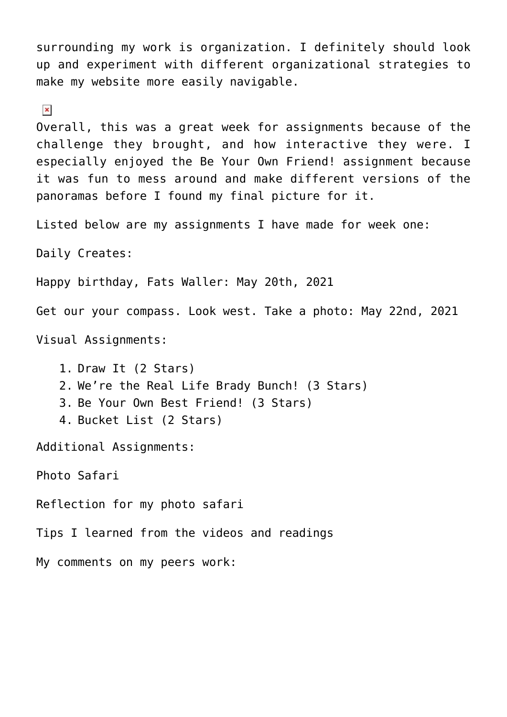surrounding my work is organization. I definitely should look up and experiment with different organizational strategies to make my website more easily navigable.

#### $\pmb{\times}$

Overall, this was a great week for assignments because of the challenge they brought, and how interactive they were. I especially enjoyed the [Be Your Own Friend!](http://cruzkevin.com/?p=209) assignment because it was fun to mess around and make different versions of the panoramas before I found my final picture for it.

Listed below are my assignments I have made for week one:

Daily Creates:

[Happy birthday, Fats Waller:](http://cruzkevin.com/?p=295) May 20th, 2021

[Get our your compass. Look west. Take a photo](http://cruzkevin.com/?p=291): May 22nd, 2021

Visual Assignments:

1. [Draw It](http://cruzkevin.com/?p=204) (2 Stars) 2. [We're the Real Life Brady Bunch!](http://cruzkevin.com/?p=211) (3 Stars) 3. [Be Your Own Best Friend!](http://cruzkevin.com/?p=209) (3 Stars) 4. [Bucket List](http://cruzkevin.com/?p=207) (2 Stars)

Additional Assignments:

[Photo Safari](http://cruzkevin.com/?page_id=112)

[Reflection for my photo safari](http://cruzkevin.com/?page_id=112)

[Tips I learned from the videos and readings](http://cruzkevin.com/?p=304)

My comments on my peers work: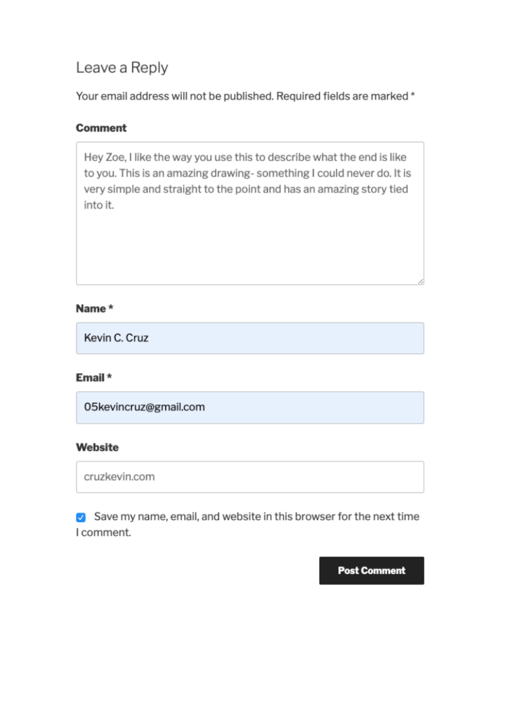## Leave a Reply

Your email address will not be published. Required fields are marked \*

#### Comment

Hey Zoe, I like the way you use this to describe what the end is like to you. This is an amazing drawing-something I could never do. It is very simple and straight to the point and has an amazing story tied into it.

#### Name \*

Kevin C. Cruz

#### Email \*

05kevincruz@gmail.com

#### Website

cruzkevin.com

Save my name, email, and website in this browser for the next time I comment.

**Post Comment**